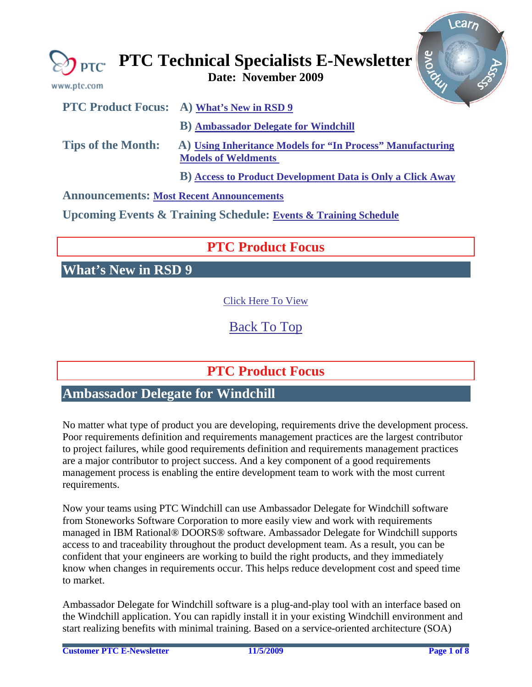<span id="page-0-0"></span>

| www.ptc.com                                     | <b>Arove</b><br>$\sum_{\text{PTC}} \text{PTC Technical Specialists E-Newsletter}$        |
|-------------------------------------------------|------------------------------------------------------------------------------------------|
|                                                 | <b>PTC Product Focus:</b> A) What's New in RSD 9                                         |
|                                                 | <b>B</b> ) Ambassador Delegate for Windchill                                             |
| <b>Tips of the Month:</b>                       | A) Using Inheritance Models for "In Process" Manufacturing<br><b>Models of Weldments</b> |
|                                                 | <b>B)</b> Access to Product Development Data is Only a Click Away                        |
| <b>Announcements: Most Recent Announcements</b> |                                                                                          |

**Upcoming Events & Training Schedule: [Events & Training Schedule](#page-6-0)**

# **PTC Product Focus**

**What's New in RSD 9** 

[Click Here To View](http://members.shaw.ca/jpeng/newsletter/PTC_Technical_Specialists_E-Newsletter_2009_11_desktop.pdf)

[Back To Top](#page-0-0)

# **PTC Product Focus**

## **Ambassador Delegate for Windchill**

No matter what type of product you are developing, requirements drive the development process. Poor requirements definition and requirements management practices are the largest contributor to project failures, while good requirements definition and requirements management practices are a major contributor to project success. And a key component of a good requirements management process is enabling the entire development team to work with the most current requirements.

Now your teams using PTC Windchill can use Ambassador Delegate for Windchill software from Stoneworks Software Corporation to more easily view and work with requirements managed in IBM Rational® DOORS® software. Ambassador Delegate for Windchill supports access to and traceability throughout the product development team. As a result, you can be confident that your engineers are working to build the right products, and they immediately know when changes in requirements occur. This helps reduce development cost and speed time to market.

Ambassador Delegate for Windchill software is a plug-and-play tool with an interface based on the Windchill application. You can rapidly install it in your existing Windchill environment and start realizing benefits with minimal training. Based on a service-oriented architecture (SOA)

Learn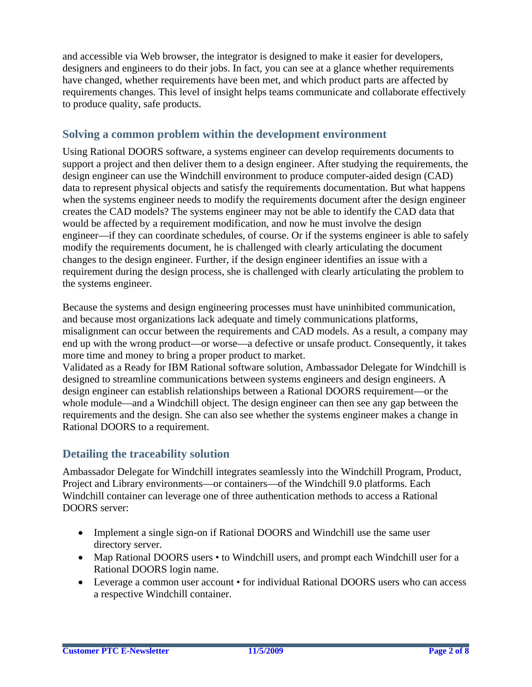and accessible via Web browser, the integrator is designed to make it easier for developers, designers and engineers to do their jobs. In fact, you can see at a glance whether requirements have changed, whether requirements have been met, and which product parts are affected by requirements changes. This level of insight helps teams communicate and collaborate effectively to produce quality, safe products.

### **Solving a common problem within the development environment**

Using Rational DOORS software, a systems engineer can develop requirements documents to support a project and then deliver them to a design engineer. After studying the requirements, the design engineer can use the Windchill environment to produce computer-aided design (CAD) data to represent physical objects and satisfy the requirements documentation. But what happens when the systems engineer needs to modify the requirements document after the design engineer creates the CAD models? The systems engineer may not be able to identify the CAD data that would be affected by a requirement modification, and now he must involve the design engineer—if they can coordinate schedules, of course. Or if the systems engineer is able to safely modify the requirements document, he is challenged with clearly articulating the document changes to the design engineer. Further, if the design engineer identifies an issue with a requirement during the design process, she is challenged with clearly articulating the problem to the systems engineer.

Because the systems and design engineering processes must have uninhibited communication, and because most organizations lack adequate and timely communications platforms, misalignment can occur between the requirements and CAD models. As a result, a company may end up with the wrong product—or worse—a defective or unsafe product. Consequently, it takes more time and money to bring a proper product to market.

Validated as a Ready for IBM Rational software solution, Ambassador Delegate for Windchill is designed to streamline communications between systems engineers and design engineers. A design engineer can establish relationships between a Rational DOORS requirement—or the whole module—and a Windchill object. The design engineer can then see any gap between the requirements and the design. She can also see whether the systems engineer makes a change in Rational DOORS to a requirement.

### **Detailing the traceability solution**

Ambassador Delegate for Windchill integrates seamlessly into the Windchill Program, Product, Project and Library environments—or containers—of the Windchill 9.0 platforms. Each Windchill container can leverage one of three authentication methods to access a Rational DOORS server:

- Implement a single sign-on if Rational DOORS and Windchill use the same user directory server.
- Map Rational DOORS users to Windchill users, and prompt each Windchill user for a Rational DOORS login name.
- Leverage a common user account for individual Rational DOORS users who can access a respective Windchill container.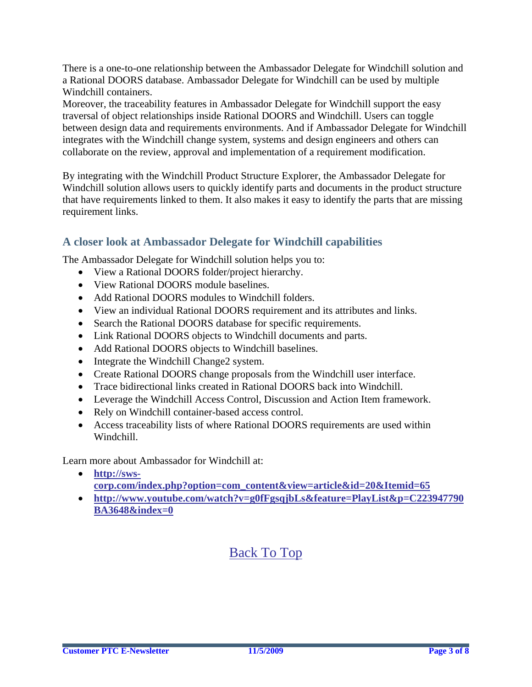There is a one-to-one relationship between the Ambassador Delegate for Windchill solution and a Rational DOORS database. Ambassador Delegate for Windchill can be used by multiple Windchill containers.

Moreover, the traceability features in Ambassador Delegate for Windchill support the easy traversal of object relationships inside Rational DOORS and Windchill. Users can toggle between design data and requirements environments. And if Ambassador Delegate for Windchill integrates with the Windchill change system, systems and design engineers and others can collaborate on the review, approval and implementation of a requirement modification.

By integrating with the Windchill Product Structure Explorer, the Ambassador Delegate for Windchill solution allows users to quickly identify parts and documents in the product structure that have requirements linked to them. It also makes it easy to identify the parts that are missing requirement links.

### **A closer look at Ambassador Delegate for Windchill capabilities**

The Ambassador Delegate for Windchill solution helps you to:

- View a Rational DOORS folder/project hierarchy.
- View Rational DOORS module baselines.
- Add Rational DOORS modules to Windchill folders.
- View an individual Rational DOORS requirement and its attributes and links.
- Search the Rational DOORS database for specific requirements.
- Link Rational DOORS objects to Windchill documents and parts.
- Add Rational DOORS objects to Windchill baselines.
- Integrate the Windchill Change2 system.
- Create Rational DOORS change proposals from the Windchill user interface.
- Trace bidirectional links created in Rational DOORS back into Windchill.
- Leverage the Windchill Access Control, Discussion and Action Item framework.
- Rely on Windchill container-based access control.
- Access traceability lists of where Rational DOORS requirements are used within Windchill.

Learn more about Ambassador for Windchill at:

- **[http://sws](http://sws-corp.com/index.php?option=com_content&view=article&id=20&Itemid=65)[corp.com/index.php?option=com\\_content&view=article&id=20&Itemid=65](http://sws-corp.com/index.php?option=com_content&view=article&id=20&Itemid=65)**
- **[http://www.youtube.com/watch?v=g0fFgsqjbLs&feature=PlayList&p=C223947790](http://www.youtube.com/watch?v=g0fFgsqjbLs&feature=PlayList&p=C223947790BA3648&index=0) [BA3648&index=0](http://www.youtube.com/watch?v=g0fFgsqjbLs&feature=PlayList&p=C223947790BA3648&index=0)**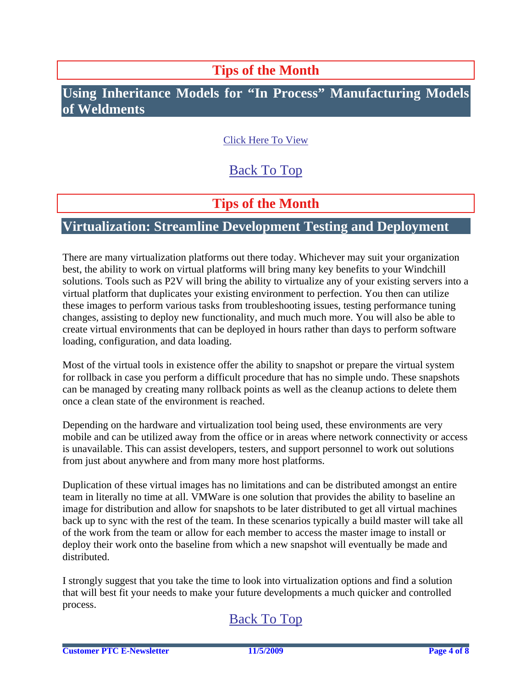## **Tips of the Month**

## <span id="page-3-0"></span>**Using Inheritance Models for "In Process" Manufacturing Models of Weldments**

## [Click Here To View](http://members.shaw.ca/jpeng/newsletter/PTC_Technical_Specialists_E-Newsletter_2009_11_desktop.pdf)

## [Back To Top](#page-0-0)

## **Tips of the Month**

### **Virtualization: Streamline Development Testing and Deployment**

There are many virtualization platforms out there today. Whichever may suit your organization best, the ability to work on virtual platforms will bring many key benefits to your Windchill solutions. Tools such as P2V will bring the ability to virtualize any of your existing servers into a virtual platform that duplicates your existing environment to perfection. You then can utilize these images to perform various tasks from troubleshooting issues, testing performance tuning changes, assisting to deploy new functionality, and much much more. You will also be able to create virtual environments that can be deployed in hours rather than days to perform software loading, configuration, and data loading.

Most of the virtual tools in existence offer the ability to snapshot or prepare the virtual system for rollback in case you perform a difficult procedure that has no simple undo. These snapshots can be managed by creating many rollback points as well as the cleanup actions to delete them once a clean state of the environment is reached.

Depending on the hardware and virtualization tool being used, these environments are very mobile and can be utilized away from the office or in areas where network connectivity or access is unavailable. This can assist developers, testers, and support personnel to work out solutions from just about anywhere and from many more host platforms.

Duplication of these virtual images has no limitations and can be distributed amongst an entire team in literally no time at all. VMWare is one solution that provides the ability to baseline an image for distribution and allow for snapshots to be later distributed to get all virtual machines back up to sync with the rest of the team. In these scenarios typically a build master will take all of the work from the team or allow for each member to access the master image to install or deploy their work onto the baseline from which a new snapshot will eventually be made and distributed.

I strongly suggest that you take the time to look into virtualization options and find a solution that will best fit your needs to make your future developments a much quicker and controlled process.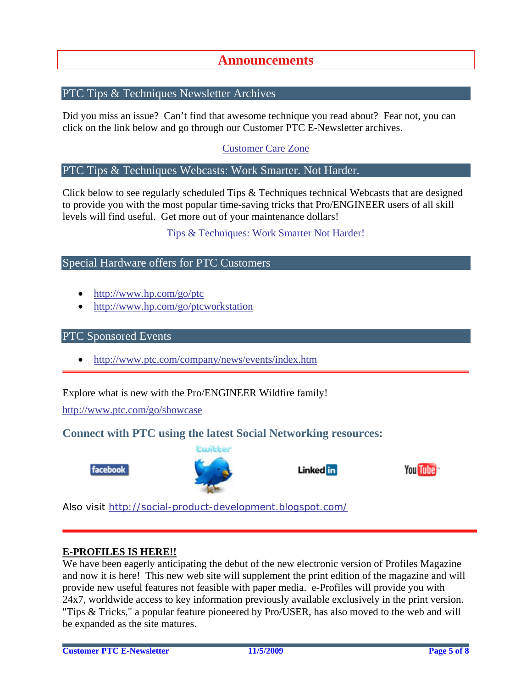### **Announcements**

### <span id="page-4-0"></span>PTC Tips & Techniques Newsletter Archives

Did you miss an issue? Can't find that awesome technique you read about? Fear not, you can click on the link below and go through our Customer PTC E-Newsletter archives.

[Customer Care Zone](http://www.ptc.com/carezone/)

#### PTC Tips & Techniques Webcasts: Work Smarter. Not Harder.

Click below to see regularly scheduled Tips & Techniques technical Webcasts that are designed to provide you with the most popular time-saving tricks that Pro/ENGINEER users of all skill levels will find useful. Get more out of your maintenance dollars!

#### [Tips & Techniques: Work Smarter Not Harder!](http://www.ptc.com/appserver/it/icm/cda/template_lib/events/series.jsp?&im_dbkey=11442&icg_dbkey=141)

### Special Hardware offers for PTC Customers

- <http://www.hp.com/go/ptc>
- <http://www.hp.com/go/ptcworkstation>

#### PTC Sponsored Events

• http://www.ptc.com/company/news/events/index.htm

Explore what is new with the Pro/ENGINEER Wildfire family!

<http://www.ptc.com/go/showcase>

### **Connect with PTC using the latest Social Networking resources:**





Linked in



Also visit<http://social-product-development.blogspot.com/>

#### **E-PROFILES IS HERE!!**

We have been eagerly anticipating the debut of the new electronic version of Profiles Magazine and now it is here! This new web site will supplement the print edition of the magazine and will provide new useful features not feasible with paper media. e-Profiles will provide you with 24x7, worldwide access to key information previously available exclusively in the print version. "Tips & Tricks," a popular feature pioneered by Pro/USER, has also moved to the web and will be expanded as the site matures.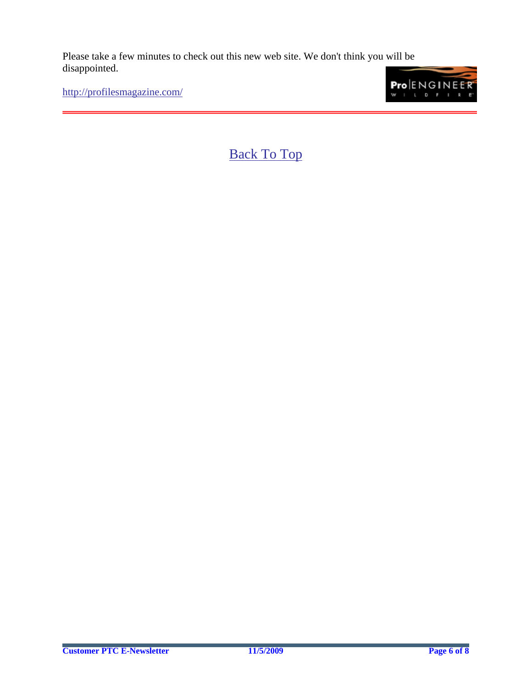Please take a few minutes to check out this new web site. We don't think you will be disappointed.

<http://profilesmagazine.com/>

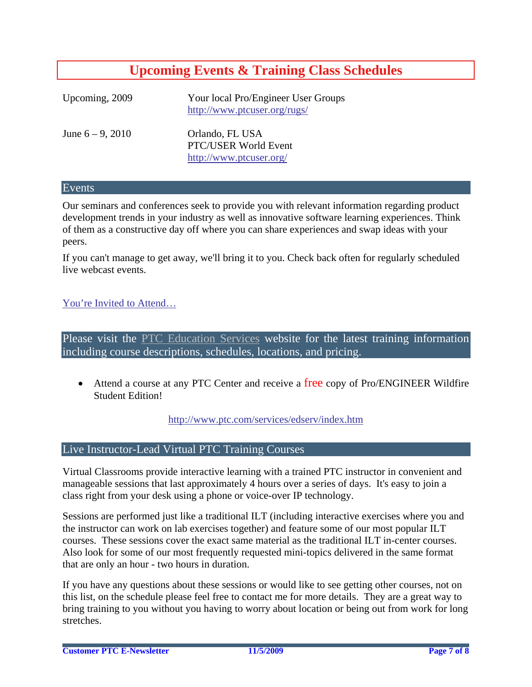## **Upcoming Events & Training Class Schedules**

<span id="page-6-0"></span>

| Upcoming, 2009      | Your local Pro/Engineer User Groups<br>http://www.ptcuser.org/rugs/ |
|---------------------|---------------------------------------------------------------------|
| June $6 - 9$ , 2010 | Orlando, FL USA<br>PTC/USER World Event<br>http://www.ptcuser.org/  |

#### Events

Our seminars and conferences seek to provide you with relevant information regarding product development trends in your industry as well as innovative software learning experiences. Think of them as a constructive day off where you can share experiences and swap ideas with your peers.

If you can't manage to get away, we'll bring it to you. Check back often for regularly scheduled live webcast events.

#### [You're Invited to Attend…](http://www.ptc.com/company/news/events/index.htm)

Please visit the [PTC Education Services](http://www.ptc.com/services/edserv/) website for the latest training information including course descriptions, schedules, locations, and pricing.

• Attend a course at any PTC Center and receive a free copy of Pro/ENGINEER Wildfire Student Edition!

<http://www.ptc.com/services/edserv/index.htm>

#### Live Instructor-Lead Virtual PTC Training Courses

Virtual Classrooms provide interactive learning with a trained PTC instructor in convenient and manageable sessions that last approximately 4 hours over a series of days. It's easy to join a class right from your desk using a phone or voice-over IP technology.

Sessions are performed just like a traditional ILT (including interactive exercises where you and the instructor can work on lab exercises together) and feature some of our most popular ILT courses. These sessions cover the exact same material as the traditional ILT in-center courses. Also look for some of our most frequently requested mini-topics delivered in the same format that are only an hour - two hours in duration.

If you have any questions about these sessions or would like to see getting other courses, not on this list, on the schedule please feel free to contact me for more details. They are a great way to bring training to you without you having to worry about location or being out from work for long stretches.